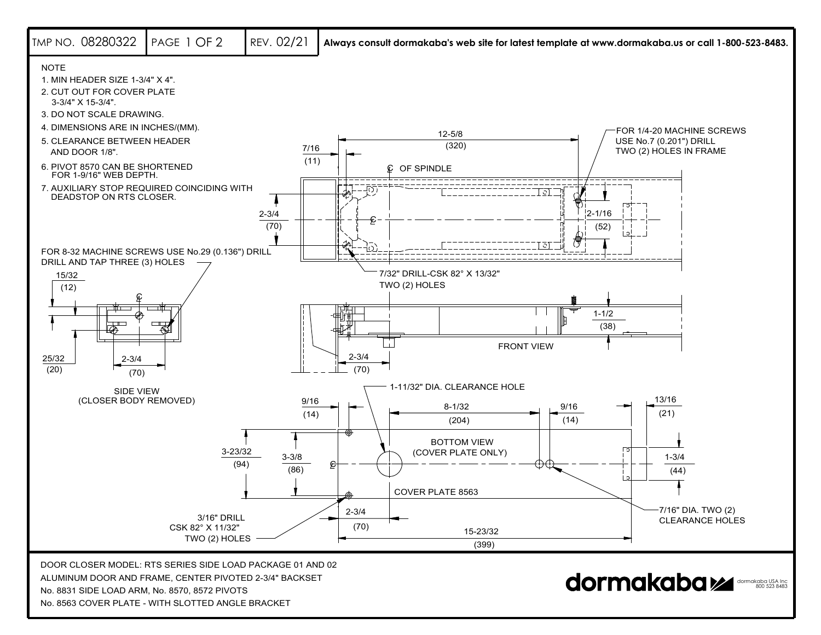